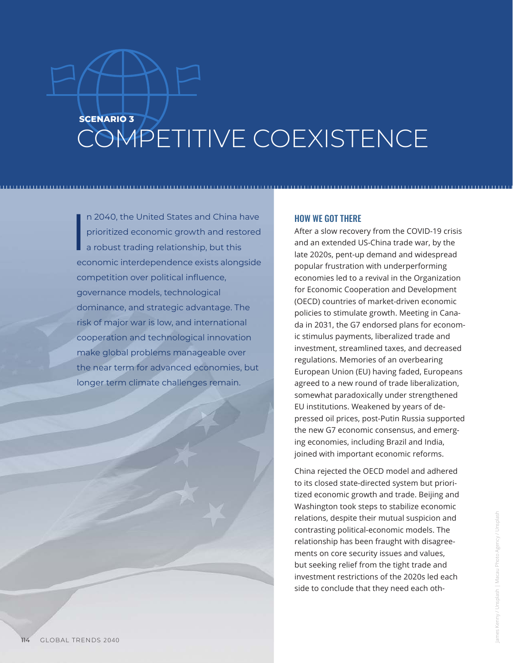## **SCENARIO 3** COMPETITIVE COEXISTENCE

I n 2040, the United States and China have prioritized economic growth and restored a robust trading relationship, but this economic interdependence exists alongside competition over political influence, governance models, technological dominance, and strategic advantage. The risk of major war is low, and international cooperation and technological innovation make global problems manageable over the near term for advanced economies, but longer term climate challenges remain.

## HOW WE GOT THERE

After a slow recovery from the COVID-19 crisis and an extended US-China trade war, by the late 2020s, pent-up demand and widespread popular frustration with underperforming economies led to a revival in the Organization for Economic Cooperation and Development (OECD) countries of market-driven economic policies to stimulate growth. Meeting in Canada in 2031, the G7 endorsed plans for economic stimulus payments, liberalized trade and investment, streamlined taxes, and decreased regulations. Memories of an overbearing European Union (EU) having faded, Europeans agreed to a new round of trade liberalization, somewhat paradoxically under strengthened EU institutions. Weakened by years of depressed oil prices, post-Putin Russia supported the new G7 economic consensus, and emerging economies, including Brazil and India, joined with important economic reforms.

China rejected the OECD model and adhered to its closed state-directed system but prioritized economic growth and trade. Beijing and Washington took steps to stabilize economic relations, despite their mutual suspicion and contrasting political-economic models. The relationship has been fraught with disagreements on core security issues and values, but seeking relief from the tight trade and investment restrictions of the 2020s led each side to conclude that they need each oth